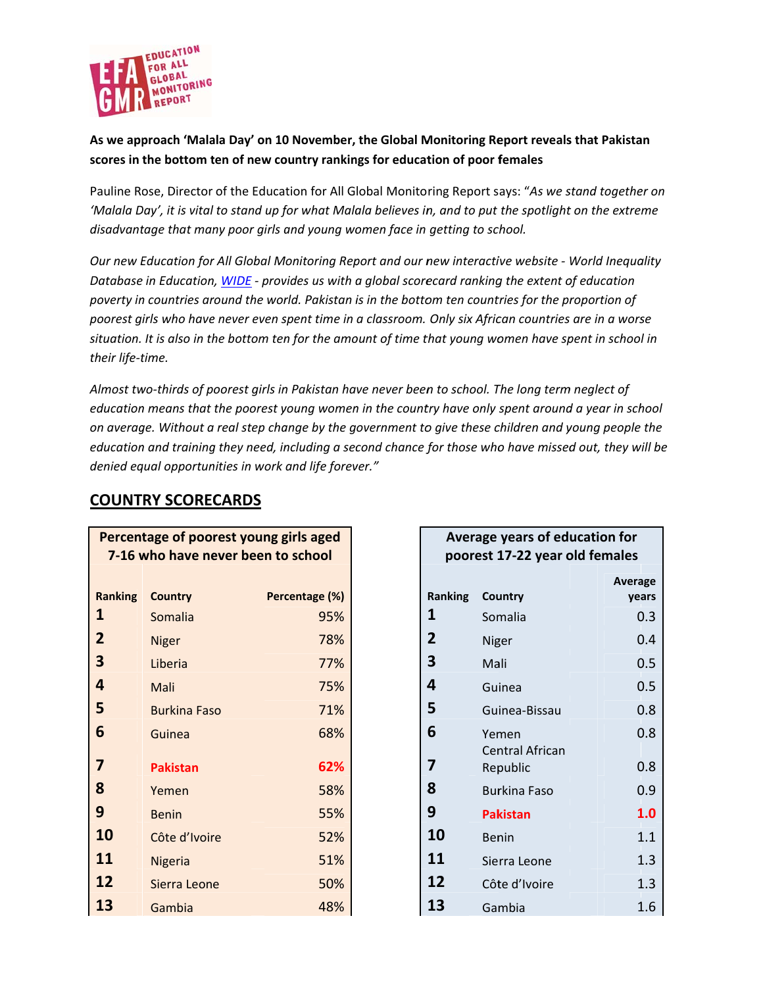

## As we approach 'Malala Day' on 10 November, the Global Monitoring Report reveals that Pakistan scores in the bottom ten of new country rankings for education of poor females

Pauline Rose, Director of the Education for All Global Monitoring Report says: "As we stand together on 'Malala Day', it is vital to stand up for what Malala believes in, and to put the spotlight on the extreme disadvantage that many poor girls and young women face in getting to school.

Our new Education for All Global Monitoring Report and our new interactive website - World Inequality Database in Education, WIDE - provides us with a global scorecard ranking the extent of education poverty in countries around the world. Pakistan is in the bottom ten countries for the proportion of poorest girls who have never even spent time in a classroom. Only six African countries are in a worse situation. It is also in the bottom ten for the amount of time that young women have spent in school in their life-time.

Almost two-thirds of poorest girls in Pakistan have never been to school. The long term neglect of education means that the poorest young women in the country have only spent around a year in school on average. Without a real step change by the government to give these children and young people the education and training they need, including a second chance for those who have missed out, they will be denied equal opportunities in work and life forever."

## **COUNTRY SCORECARDS**

| Percentage of poorest young girls aged<br>7-16 who have never been to school |                     |  |                |  |  |
|------------------------------------------------------------------------------|---------------------|--|----------------|--|--|
| <b>Ranking</b>                                                               | <b>Country</b>      |  | Percentage (%) |  |  |
| 1                                                                            | Somalia             |  | 95%            |  |  |
| $\overline{2}$                                                               | <b>Niger</b>        |  | 78%            |  |  |
| 3                                                                            | Liberia             |  | 77%            |  |  |
| 4                                                                            | Mali                |  | 75%            |  |  |
| 5                                                                            | <b>Burkina Faso</b> |  | 71%            |  |  |
| 6                                                                            | Guinea              |  | 68%            |  |  |
| 7                                                                            | <b>Pakistan</b>     |  | 62%            |  |  |
| 8                                                                            | Yemen               |  | 58%            |  |  |
| 9                                                                            | <b>Benin</b>        |  | 55%            |  |  |
| 10                                                                           | Côte d'Ivoire       |  | 52%            |  |  |
| 11                                                                           | Nigeria             |  | 51%            |  |  |
| 12                                                                           | Sierra Leone        |  | 50%            |  |  |
| 13                                                                           | Gambia              |  | 48%            |  |  |

## Average years of education for poorest 17-22 year old females

|                |                        | Average |
|----------------|------------------------|---------|
| Ranking        | Country                | years   |
| 1              | Somalia                | 0.3     |
| $\overline{2}$ | Niger                  | 0.4     |
| 3              | Mali                   | 0.5     |
| 4              | Guinea                 | 0.5     |
| 5              | Guinea-Bissau          | 0.8     |
| 6              | Yemen                  | 0.8     |
|                | <b>Central African</b> |         |
| 7              | Republic               | 0.8     |
| 8              | <b>Burkina Faso</b>    | 0.9     |
| 9              | <b>Pakistan</b>        | 1.0     |
| 10             | Benin                  | 1.1     |
| 11             | Sierra Leone           | 1.3     |
| 12             | Côte d'Ivoire          | 1.3     |
| 13             | Gambia                 | 1.6     |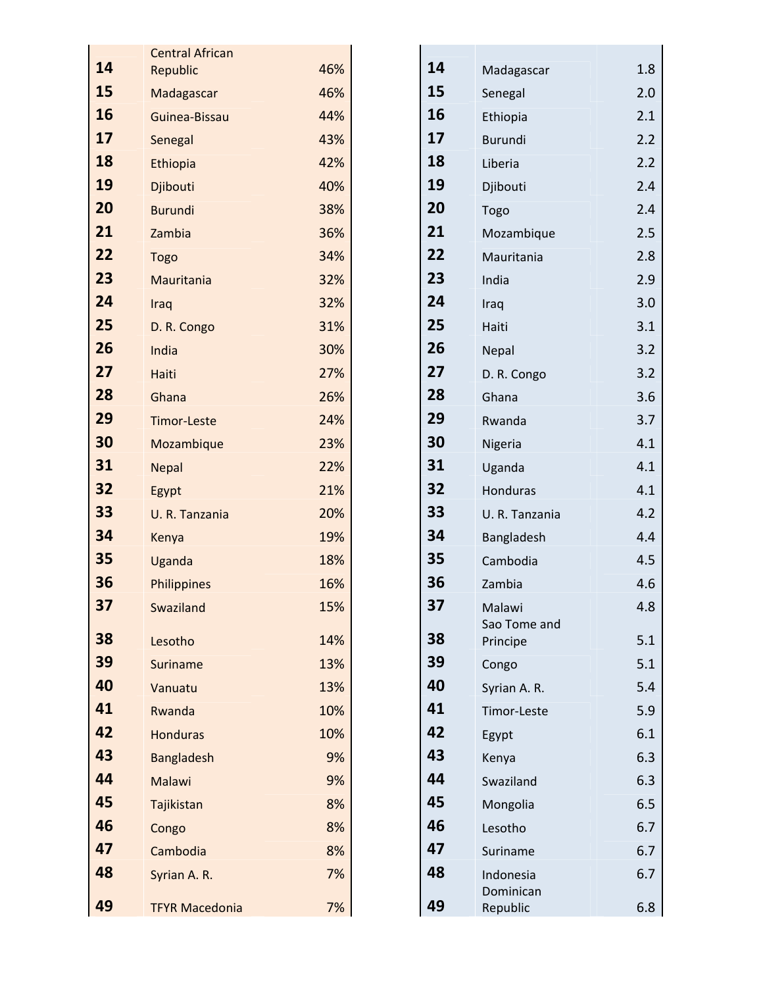|    | <b>Central African</b> |     |    |                        |     |
|----|------------------------|-----|----|------------------------|-----|
| 14 | Republic               | 46% | 14 | Madagascar             | 1.8 |
| 15 | Madagascar             | 46% | 15 | Senegal                | 2.0 |
| 16 | Guinea-Bissau          | 44% | 16 | Ethiopia               | 2.1 |
| 17 | Senegal                | 43% | 17 | <b>Burundi</b>         | 2.2 |
| 18 | Ethiopia               | 42% | 18 | Liberia                | 2.2 |
| 19 | Djibouti               | 40% | 19 | Djibouti               | 2.4 |
| 20 | <b>Burundi</b>         | 38% | 20 | Togo                   | 2.4 |
| 21 | Zambia                 | 36% | 21 | Mozambique             | 2.5 |
| 22 | <b>Togo</b>            | 34% | 22 | Mauritania             | 2.8 |
| 23 | Mauritania             | 32% | 23 | India                  | 2.9 |
| 24 | Iraq                   | 32% | 24 | Iraq                   | 3.0 |
| 25 | D. R. Congo            | 31% | 25 | Haiti                  | 3.1 |
| 26 | India                  | 30% | 26 | Nepal                  | 3.2 |
| 27 | Haiti                  | 27% | 27 | D. R. Congo            | 3.2 |
| 28 | Ghana                  | 26% | 28 | Ghana                  | 3.6 |
| 29 | <b>Timor-Leste</b>     | 24% | 29 | Rwanda                 | 3.7 |
| 30 | Mozambique             | 23% | 30 | Nigeria                | 4.1 |
| 31 | <b>Nepal</b>           | 22% | 31 | Uganda                 | 4.1 |
| 32 | Egypt                  | 21% | 32 | Honduras               | 4.1 |
| 33 | U. R. Tanzania         | 20% | 33 | U. R. Tanzania         | 4.2 |
| 34 | Kenya                  | 19% | 34 | Bangladesh             | 4.4 |
| 35 | Uganda                 | 18% | 35 | Cambodia               | 4.5 |
| 36 | Philippines            | 16% | 36 | Zambia                 | 4.6 |
| 37 | Swaziland              | 15% | 37 | Malawi<br>Sao Tome and | 4.8 |
| 38 | Lesotho                | 14% | 38 | Principe               | 5.1 |
| 39 | Suriname               | 13% | 39 | Congo                  | 5.1 |
| 40 | Vanuatu                | 13% | 40 | Syrian A. R.           | 5.4 |
| 41 | Rwanda                 | 10% | 41 | Timor-Leste            | 5.9 |
| 42 | <b>Honduras</b>        | 10% | 42 | Egypt                  | 6.1 |
| 43 | <b>Bangladesh</b>      | 9%  | 43 | Kenya                  | 6.3 |
| 44 | Malawi                 | 9%  | 44 | Swaziland              | 6.3 |
| 45 | Tajikistan             | 8%  | 45 | Mongolia               | 6.5 |
| 46 | Congo                  | 8%  | 46 | Lesotho                | 6.7 |
| 47 | Cambodia               | 8%  | 47 | Suriname               | 6.7 |
| 48 | Syrian A. R.           | 7%  | 48 | Indonesia<br>Dominican | 6.7 |
| 49 | <b>TFYR Macedonia</b>  | 7%  | 49 | Republic               | 6.8 |

| <b>Central African</b> |     |    |                        |     |
|------------------------|-----|----|------------------------|-----|
| Republic               | 46% | 14 | Madagascar             | 1.8 |
| Madagascar             | 46% | 15 | Senegal                | 2.0 |
| Guinea-Bissau          | 44% | 16 | Ethiopia               | 2.1 |
| Senegal                | 43% | 17 | <b>Burundi</b>         | 2.2 |
| Ethiopia               | 42% | 18 | Liberia                | 2.2 |
| Djibouti               | 40% | 19 | Djibouti               | 2.4 |
| <b>Burundi</b>         | 38% | 20 | Togo                   | 2.4 |
| Zambia                 | 36% | 21 | Mozambique             | 2.5 |
| Togo                   | 34% | 22 | Mauritania             | 2.8 |
| Mauritania             | 32% | 23 | India                  | 2.9 |
| Iraq                   | 32% | 24 | Iraq                   | 3.0 |
| D. R. Congo            | 31% | 25 | Haiti                  | 3.1 |
| India                  | 30% | 26 | Nepal                  | 3.2 |
| Haiti                  | 27% | 27 | D. R. Congo            | 3.2 |
| Ghana                  | 26% | 28 | Ghana                  | 3.6 |
| <b>Timor-Leste</b>     | 24% | 29 | Rwanda                 | 3.7 |
| Mozambique             | 23% | 30 | Nigeria                | 4.1 |
| <b>Nepal</b>           | 22% | 31 | Uganda                 | 4.1 |
| Egypt                  | 21% | 32 | <b>Honduras</b>        | 4.1 |
| U. R. Tanzania         | 20% | 33 | U. R. Tanzania         | 4.2 |
| Kenya                  | 19% | 34 | Bangladesh             | 4.4 |
| Uganda                 | 18% | 35 | Cambodia               | 4.5 |
| Philippines            | 16% | 36 | Zambia                 | 4.6 |
| Swaziland              | 15% | 37 | Malawi<br>Sao Tome and | 4.8 |
| Lesotho                | 14% | 38 | Principe               | 5.1 |
| <b>Suriname</b>        | 13% | 39 | Congo                  | 5.1 |
| Vanuatu                | 13% | 40 | Syrian A. R.           | 5.4 |
| Rwanda                 | 10% | 41 | Timor-Leste            | 5.9 |
| <b>Honduras</b>        | 10% | 42 | Egypt                  | 6.1 |
| <b>Bangladesh</b>      | 9%  | 43 | Kenya                  | 6.3 |
| Malawi                 | 9%  | 44 | Swaziland              | 6.3 |
| Tajikistan             | 8%  | 45 | Mongolia               | 6.5 |
| Congo                  | 8%  | 46 | Lesotho                | 6.7 |
| Cambodia               | 8%  | 47 | Suriname               | 6.7 |
| Syrian A. R.           | 7%  | 48 | Indonesia<br>Dominican | 6.7 |
| <b>TFYR Macedonia</b>  | 7%  | 49 | Republic               | 6.8 |